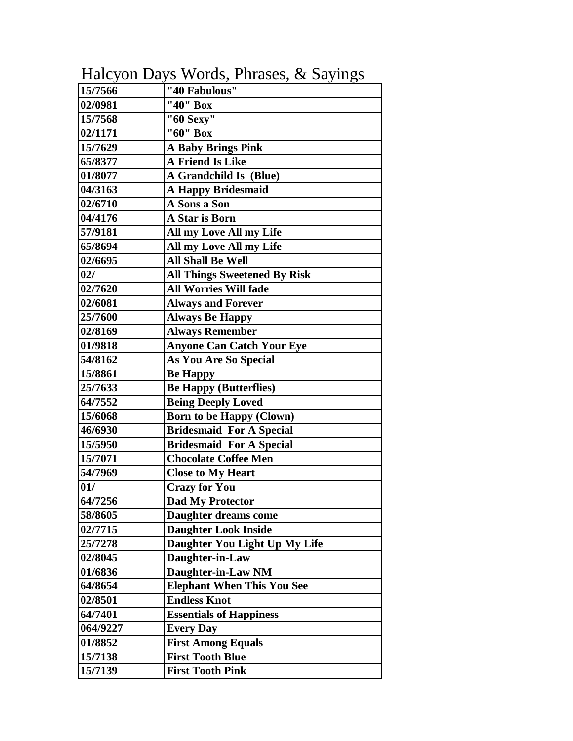| 15/7566  | "40 Fabulous"                       |
|----------|-------------------------------------|
| 02/0981  | "40" Box                            |
| 15/7568  | "60 Sexy"                           |
| 02/1171  | "60" Box                            |
| 15/7629  | <b>A Baby Brings Pink</b>           |
| 65/8377  | A Friend Is Like                    |
| 01/8077  | A Grandchild Is (Blue)              |
| 04/3163  | <b>A Happy Bridesmaid</b>           |
| 02/6710  | A Sons a Son                        |
| 04/4176  | A Star is Born                      |
| 57/9181  | All my Love All my Life             |
| 65/8694  | All my Love All my Life             |
| 02/6695  | <b>All Shall Be Well</b>            |
| 02/      | <b>All Things Sweetened By Risk</b> |
| 02/7620  | <b>All Worries Will fade</b>        |
| 02/6081  | <b>Always and Forever</b>           |
| 25/7600  | <b>Always Be Happy</b>              |
| 02/8169  | <b>Always Remember</b>              |
| 01/9818  | <b>Anyone Can Catch Your Eye</b>    |
| 54/8162  | <b>As You Are So Special</b>        |
| 15/8861  | <b>Be Happy</b>                     |
| 25/7633  | <b>Be Happy (Butterflies)</b>       |
| 64/7552  | <b>Being Deeply Loved</b>           |
| 15/6068  | <b>Born to be Happy (Clown)</b>     |
| 46/6930  | <b>Bridesmaid For A Special</b>     |
| 15/5950  | <b>Bridesmaid For A Special</b>     |
| 15/7071  | <b>Chocolate Coffee Men</b>         |
| 54/7969  | <b>Close to My Heart</b>            |
| 01/      | <b>Crazy for You</b>                |
| 64/7256  | <b>Dad My Protector</b>             |
| 58/8605  | Daughter dreams come                |
| 02/7715  | <b>Daughter Look Inside</b>         |
| 25/7278  | Daughter You Light Up My Life       |
| 02/8045  | Daughter-in-Law                     |
| 01/6836  | Daughter-in-Law NM                  |
| 64/8654  | <b>Elephant When This You See</b>   |
| 02/8501  | <b>Endless Knot</b>                 |
| 64/7401  | <b>Essentials of Happiness</b>      |
| 064/9227 | <b>Every Day</b>                    |
| 01/8852  | <b>First Among Equals</b>           |
| 15/7138  | <b>First Tooth Blue</b>             |
| 15/7139  | <b>First Tooth Pink</b>             |

Halcyon Days Words, Phrases, & Sayings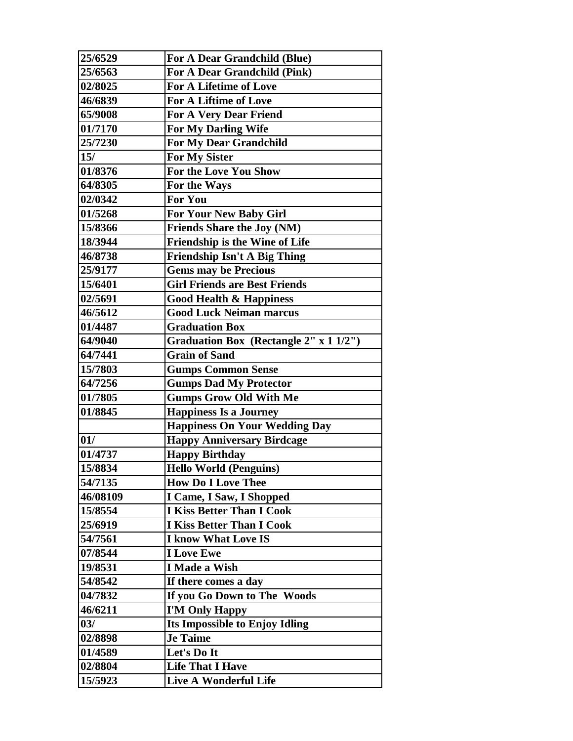| 25/6529  | <b>For A Dear Grandchild (Blue)</b>    |
|----------|----------------------------------------|
| 25/6563  | For A Dear Grandchild (Pink)           |
| 02/8025  | <b>For A Lifetime of Love</b>          |
| 46/6839  | <b>For A Liftime of Love</b>           |
| 65/9008  | <b>For A Very Dear Friend</b>          |
| 01/7170  | For My Darling Wife                    |
| 25/7230  | <b>For My Dear Grandchild</b>          |
| 15/      | <b>For My Sister</b>                   |
| 01/8376  | For the Love You Show                  |
| 64/8305  | For the Ways                           |
| 02/0342  | <b>For You</b>                         |
| 01/5268  | <b>For Your New Baby Girl</b>          |
| 15/8366  | <b>Friends Share the Joy (NM)</b>      |
| 18/3944  | <b>Friendship is the Wine of Life</b>  |
| 46/8738  | <b>Friendship Isn't A Big Thing</b>    |
| 25/9177  | <b>Gems may be Precious</b>            |
| 15/6401  | <b>Girl Friends are Best Friends</b>   |
| 02/5691  | <b>Good Health &amp; Happiness</b>     |
| 46/5612  | <b>Good Luck Neiman marcus</b>         |
| 01/4487  | <b>Graduation Box</b>                  |
| 64/9040  | Graduation Box (Rectangle 2" x 1 1/2") |
| 64/7441  | <b>Grain of Sand</b>                   |
| 15/7803  | <b>Gumps Common Sense</b>              |
| 64/7256  | <b>Gumps Dad My Protector</b>          |
| 01/7805  | <b>Gumps Grow Old With Me</b>          |
| 01/8845  | <b>Happiness Is a Journey</b>          |
|          | <b>Happiness On Your Wedding Day</b>   |
| 01/      | <b>Happy Anniversary Birdcage</b>      |
| 01/4737  | <b>Happy Birthday</b>                  |
| 15/8834  | <b>Hello World (Penguins)</b>          |
| 54/7135  | <b>How Do I Love Thee</b>              |
| 46/08109 | I Came, I Saw, I Shopped               |
| 15/8554  | <b>I Kiss Better Than I Cook</b>       |
| 25/6919  | <b>I Kiss Better Than I Cook</b>       |
| 54/7561  | <b>I know What Love IS</b>             |
| 07/8544  | <b>I</b> Love Ewe                      |
| 19/8531  | I Made a Wish                          |
| 54/8542  | If there comes a day                   |
| 04/7832  | If you Go Down to The Woods            |
| 46/6211  | I'M Only Happy                         |
| 03/      | Its Impossible to Enjoy Idling         |
| 02/8898  | <b>Je Taime</b>                        |
| 01/4589  | Let's Do It                            |
| 02/8804  | <b>Life That I Have</b>                |
|          |                                        |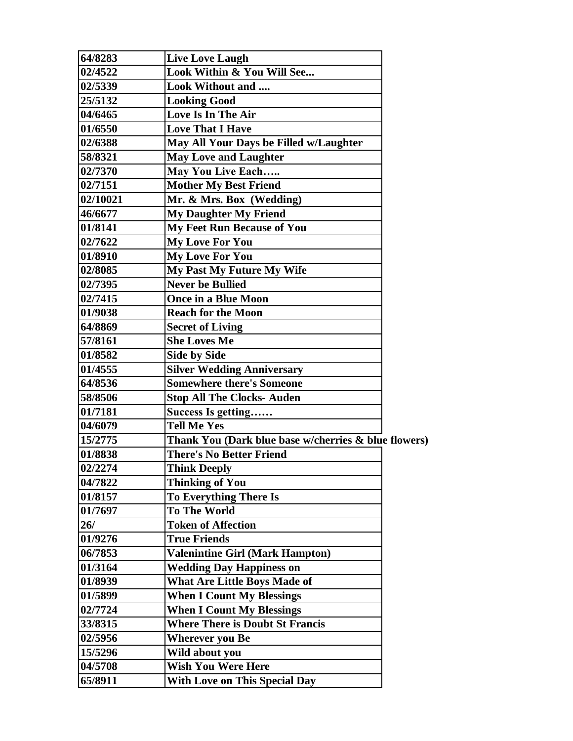| 64/8283  | <b>Live Love Laugh</b>                               |  |
|----------|------------------------------------------------------|--|
| 02/4522  | Look Within & You Will See                           |  |
| 02/5339  | Look Without and                                     |  |
| 25/5132  | <b>Looking Good</b>                                  |  |
| 04/6465  | Love Is In The Air                                   |  |
| 01/6550  | <b>Love That I Have</b>                              |  |
| 02/6388  | May All Your Days be Filled w/Laughter               |  |
| 58/8321  | <b>May Love and Laughter</b>                         |  |
| 02/7370  | May You Live Each                                    |  |
| 02/7151  | <b>Mother My Best Friend</b>                         |  |
| 02/10021 | Mr. & Mrs. Box (Wedding)                             |  |
| 46/6677  | <b>My Daughter My Friend</b>                         |  |
| 01/8141  | <b>My Feet Run Because of You</b>                    |  |
| 02/7622  | <b>My Love For You</b>                               |  |
| 01/8910  | <b>My Love For You</b>                               |  |
| 02/8085  | <b>My Past My Future My Wife</b>                     |  |
| 02/7395  | <b>Never be Bullied</b>                              |  |
| 02/7415  | <b>Once in a Blue Moon</b>                           |  |
| 01/9038  | <b>Reach for the Moon</b>                            |  |
| 64/8869  | <b>Secret of Living</b>                              |  |
| 57/8161  | <b>She Loves Me</b>                                  |  |
| 01/8582  | <b>Side by Side</b>                                  |  |
| 01/4555  | <b>Silver Wedding Anniversary</b>                    |  |
| 64/8536  | <b>Somewhere there's Someone</b>                     |  |
| 58/8506  | <b>Stop All The Clocks- Auden</b>                    |  |
| 01/7181  | Success Is getting                                   |  |
| 04/6079  | <b>Tell Me Yes</b>                                   |  |
| 15/2775  | Thank You (Dark blue base w/cherries & blue flowers) |  |
| 01/8838  | <b>There's No Better Friend</b>                      |  |
| 02/2274  | <b>Think Deeply</b>                                  |  |
| 04/7822  | <b>Thinking of You</b>                               |  |
| 01/8157  | <b>To Everything There Is</b>                        |  |
| 01/7697  | <b>To The World</b>                                  |  |
| 26/      | <b>Token of Affection</b>                            |  |
| 01/9276  | <b>True Friends</b>                                  |  |
| 06/7853  | <b>Valenintine Girl (Mark Hampton)</b>               |  |
| 01/3164  | <b>Wedding Day Happiness on</b>                      |  |
| 01/8939  | <b>What Are Little Boys Made of</b>                  |  |
| 01/5899  | <b>When I Count My Blessings</b>                     |  |
| 02/7724  | <b>When I Count My Blessings</b>                     |  |
| 33/8315  | <b>Where There is Doubt St Francis</b>               |  |
| 02/5956  | <b>Wherever you Be</b>                               |  |
| 15/5296  | Wild about you                                       |  |
| 04/5708  | <b>Wish You Were Here</b>                            |  |
| 65/8911  | <b>With Love on This Special Day</b>                 |  |